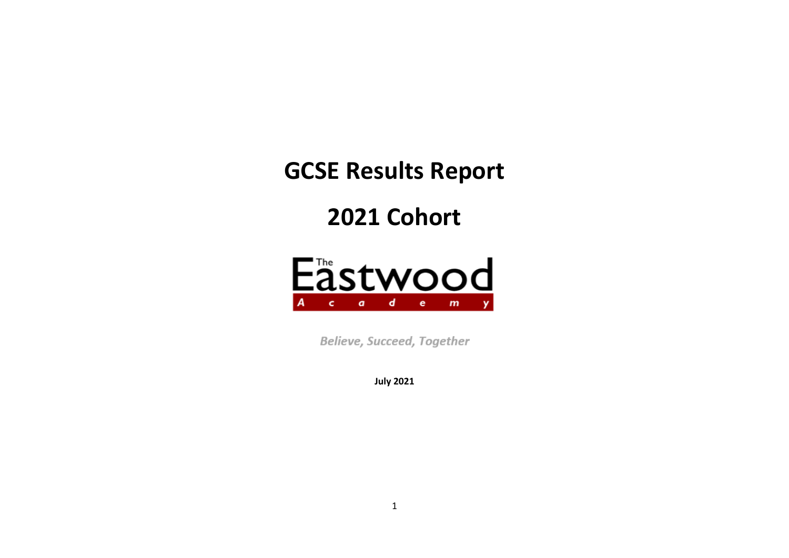**GCSE Results Report** 

**2021 Cohort**



**Believe, Succeed, Together** 

**July 2021**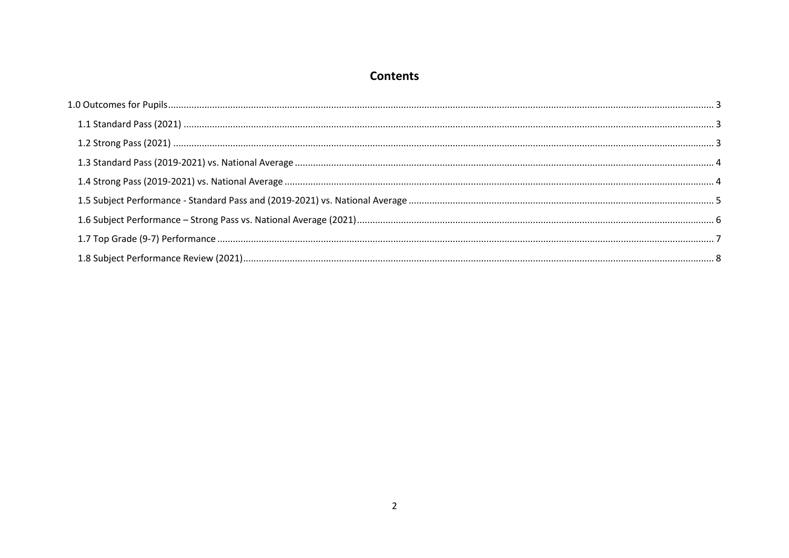# **Contents**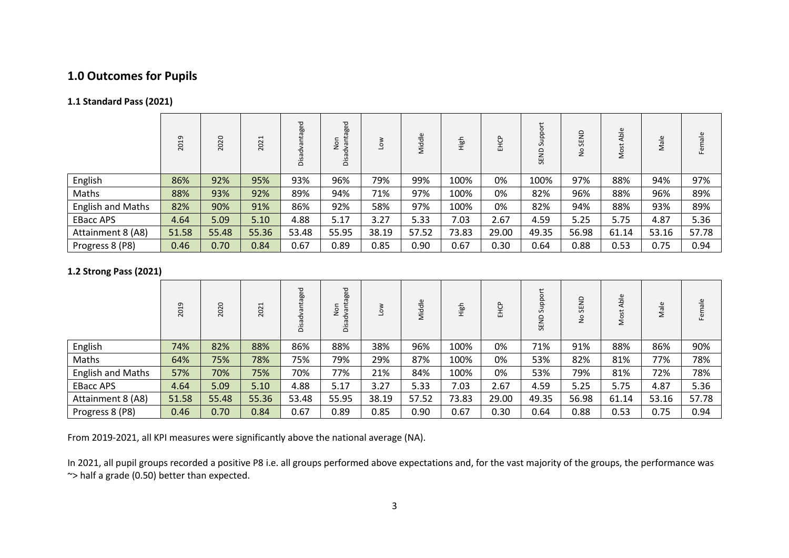# <span id="page-2-0"></span>**1.0 Outcomes for Pupils**

## <span id="page-2-1"></span>**1.1 Standard Pass (2021)**

|                          | თ<br>$\mathbf{\mathbf{\mathsf{H}}}$<br>$\circ$<br>$\overline{\sim}$ | 2020  | 1<br>202 | Disadvantaged | ged<br>Non<br>᠊ᢦ<br>ä |       | Middle | High  | EHCP  | ದ<br>SEND | $\epsilon$<br>ш<br>$\overline{u}$ | Able<br>Most | Male  | Female |
|--------------------------|---------------------------------------------------------------------|-------|----------|---------------|-----------------------|-------|--------|-------|-------|-----------|-----------------------------------|--------------|-------|--------|
| English                  | 86%                                                                 | 92%   | 95%      | 93%           | 96%                   | 79%   | 99%    | 100%  | 0%    | 100%      | 97%                               | 88%          | 94%   | 97%    |
| Maths                    | 88%                                                                 | 93%   | 92%      | 89%           | 94%                   | 71%   | 97%    | 100%  | 0%    | 82%       | 96%                               | 88%          | 96%   | 89%    |
| <b>English and Maths</b> | 82%                                                                 | 90%   | 91%      | 86%           | 92%                   | 58%   | 97%    | 100%  | 0%    | 82%       | 94%                               | 88%          | 93%   | 89%    |
| <b>EBacc APS</b>         | 4.64                                                                | 5.09  | 5.10     | 4.88          | 5.17                  | 3.27  | 5.33   | 7.03  | 2.67  | 4.59      | 5.25                              | 5.75         | 4.87  | 5.36   |
| Attainment 8 (A8)        | 51.58                                                               | 55.48 | 55.36    | 53.48         | 55.95                 | 38.19 | 57.52  | 73.83 | 29.00 | 49.35     | 56.98                             | 61.14        | 53.16 | 57.78  |
| Progress 8 (P8)          | 0.46                                                                | 0.70  | 0.84     | 0.67          | 0.89                  | 0.85  | 0.90   | 0.67  | 0.30  | 0.64      | 0.88                              | 0.53         | 0.75  | 0.94   |

## <span id="page-2-2"></span>**1.2 Strong Pass (2021)**

|                          | G<br>$\mathbf -$<br>20 | 2020  | $\mathbf{\overline{u}}$<br>202 | ntaged<br>옹<br>öä | ged<br>ΞĒ<br>ã<br>z<br>ᄒ<br>Disa |       | Middle | High  | EHCP  | 5 <sup>1</sup><br>ઝ<br>SEND | SEND<br>$\frac{1}{2}$ | ald<br>δ | Male  | $\frac{e}{\pi}$<br>ட |
|--------------------------|------------------------|-------|--------------------------------|-------------------|----------------------------------|-------|--------|-------|-------|-----------------------------|-----------------------|----------|-------|----------------------|
| English                  | 74%                    | 82%   | 88%                            | 86%               | 88%                              | 38%   | 96%    | 100%  | 0%    | 71%                         | 91%                   | 88%      | 86%   | 90%                  |
| Maths                    | 64%                    | 75%   | 78%                            | 75%               | 79%                              | 29%   | 87%    | 100%  | 0%    | 53%                         | 82%                   | 81%      | 77%   | 78%                  |
| <b>English and Maths</b> | 57%                    | 70%   | 75%                            | 70%               | 77%                              | 21%   | 84%    | 100%  | 0%    | 53%                         | 79%                   | 81%      | 72%   | 78%                  |
| <b>EBacc APS</b>         | 4.64                   | 5.09  | 5.10                           | 4.88              | 5.17                             | 3.27  | 5.33   | 7.03  | 2.67  | 4.59                        | 5.25                  | 5.75     | 4.87  | 5.36                 |
| Attainment 8 (A8)        | 51.58                  | 55.48 | 55.36                          | 53.48             | 55.95                            | 38.19 | 57.52  | 73.83 | 29.00 | 49.35                       | 56.98                 | 61.14    | 53.16 | 57.78                |
| Progress 8 (P8)          | 0.46                   | 0.70  | 0.84                           | 0.67              | 0.89                             | 0.85  | 0.90   | 0.67  | 0.30  | 0.64                        | 0.88                  | 0.53     | 0.75  | 0.94                 |

From 2019-2021, all KPI measures were significantly above the national average (NA).

In 2021, all pupil groups recorded a positive P8 i.e. all groups performed above expectations and, for the vast majority of the groups, the performance was ~> half a grade (0.50) better than expected.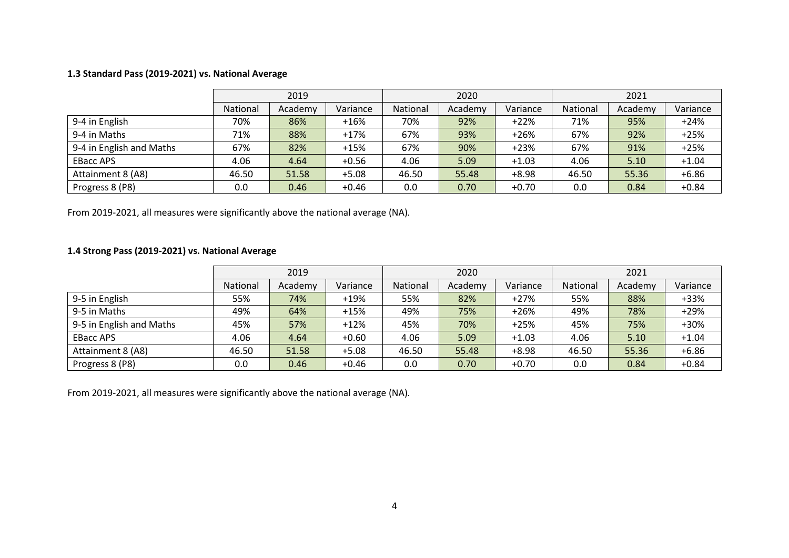## <span id="page-3-0"></span>**1.3 Standard Pass (2019-2021) vs. National Average**

|                          | 2019                            |       |         |          | 2020    |          | 2021     |         |          |
|--------------------------|---------------------------------|-------|---------|----------|---------|----------|----------|---------|----------|
|                          | Variance<br>National<br>Academy |       |         | National | Academy | Variance | National | Academy | Variance |
| 9-4 in English           | 70%                             | 86%   | $+16%$  | 70%      | 92%     | $+22%$   | 71%      | 95%     | $+24%$   |
| 9-4 in Maths             | 71%                             | 88%   | $+17%$  | 67%      | 93%     | $+26%$   | 67%      | 92%     | $+25%$   |
| 9-4 in English and Maths | 67%                             | 82%   | $+15%$  | 67%      | 90%     | $+23%$   | 67%      | 91%     | $+25%$   |
| <b>EBacc APS</b>         | 4.06                            | 4.64  | $+0.56$ | 4.06     | 5.09    | $+1.03$  | 4.06     | 5.10    | $+1.04$  |
| Attainment 8 (A8)        | 46.50                           | 51.58 | $+5.08$ | 46.50    | 55.48   | $+8.98$  | 46.50    | 55.36   | $+6.86$  |
| Progress 8 (P8)          | 0.0                             | 0.46  | $+0.46$ | 0.0      | 0.70    | $+0.70$  | 0.0      | 0.84    | $+0.84$  |

From 2019-2021, all measures were significantly above the national average (NA).

## <span id="page-3-1"></span>**1.4 Strong Pass (2019-2021) vs. National Average**

|                          | 2019     |         |          |          | 2020    |          | 2021     |         |          |
|--------------------------|----------|---------|----------|----------|---------|----------|----------|---------|----------|
|                          | National | Academy | Variance | National | Academy | Variance | National | Academy | Variance |
| 9-5 in English           | 55%      | 74%     | $+19%$   | 55%      | 82%     | $+27%$   | 55%      | 88%     | +33%     |
| 9-5 in Maths             | 49%      | 64%     | $+15%$   | 49%      | 75%     | $+26%$   | 49%      | 78%     | $+29%$   |
| 9-5 in English and Maths | 45%      | 57%     | $+12%$   | 45%      | 70%     | $+25%$   | 45%      | 75%     | +30%     |
| <b>EBacc APS</b>         | 4.06     | 4.64    | $+0.60$  | 4.06     | 5.09    | $+1.03$  | 4.06     | 5.10    | $+1.04$  |
| Attainment 8 (A8)        | 46.50    | 51.58   | $+5.08$  | 46.50    | 55.48   | $+8.98$  | 46.50    | 55.36   | $+6.86$  |
| Progress 8 (P8)          | 0.0      | 0.46    | $+0.46$  | 0.0      | 0.70    | $+0.70$  | 0.0      | 0.84    | $+0.84$  |

From 2019-2021, all measures were significantly above the national average (NA).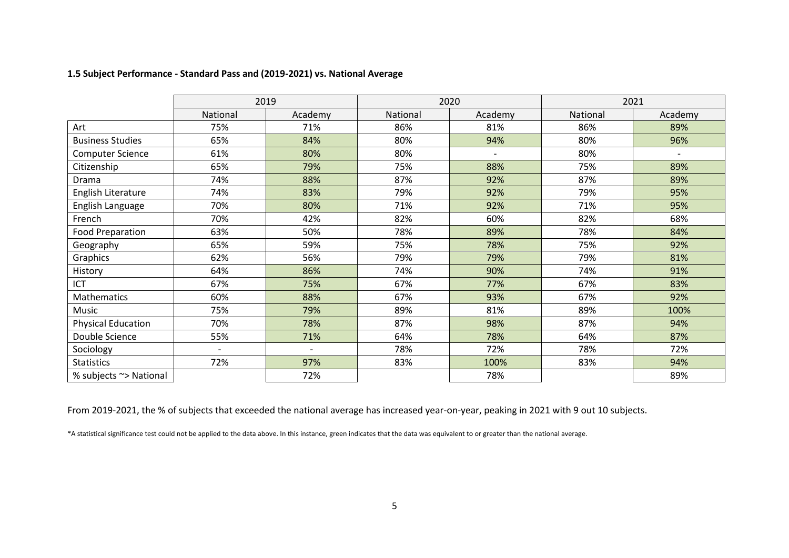## <span id="page-4-0"></span>**1.5 Subject Performance - Standard Pass and (2019-2021) vs. National Average**

|                           |          | 2019    |          | 2020                     | 2021     |                              |  |
|---------------------------|----------|---------|----------|--------------------------|----------|------------------------------|--|
|                           | National | Academy | National | Academy                  | National | Academy                      |  |
| Art                       | 75%      | 71%     | 86%      | 81%                      | 86%      | 89%                          |  |
| <b>Business Studies</b>   | 65%      | 84%     | 80%      | 94%                      | 80%      | 96%                          |  |
| Computer Science          | 61%      | 80%     | 80%      | $\overline{\phantom{0}}$ | 80%      | $\qquad \qquad \blacksquare$ |  |
| Citizenship               | 65%      | 79%     | 75%      | 88%                      | 75%      | 89%                          |  |
| Drama                     | 74%      | 88%     | 87%      | 92%                      | 87%      | 89%                          |  |
| English Literature        | 74%      | 83%     | 79%      | 92%                      | 79%      | 95%                          |  |
| English Language          | 70%      | 80%     | 71%      | 92%                      | 71%      | 95%                          |  |
| French                    | 70%      | 42%     | 82%      | 60%                      | 82%      | 68%                          |  |
| Food Preparation          | 63%      | 50%     | 78%      | 89%                      | 78%      | 84%                          |  |
| Geography                 | 65%      | 59%     | 75%      | 78%                      | 75%      | 92%                          |  |
| Graphics                  | 62%      | 56%     | 79%      | 79%                      | 79%      | 81%                          |  |
| History                   | 64%      | 86%     | 74%      | 90%                      | 74%      | 91%                          |  |
| ICT                       | 67%      | 75%     | 67%      | 77%                      | 67%      | 83%                          |  |
| Mathematics               | 60%      | 88%     | 67%      | 93%                      | 67%      | 92%                          |  |
| Music                     | 75%      | 79%     | 89%      | 81%                      | 89%      | 100%                         |  |
| <b>Physical Education</b> | 70%      | 78%     | 87%      | 98%                      | 87%      | 94%                          |  |
| Double Science            | 55%      | 71%     | 64%      | 78%                      | 64%      | 87%                          |  |
| Sociology                 |          |         | 78%      | 72%                      | 78%      | 72%                          |  |
| <b>Statistics</b>         | 72%      | 97%     | 83%      | 100%                     | 83%      | 94%                          |  |
| % subjects ~> National    |          | 72%     |          | 78%                      |          | 89%                          |  |

From 2019-2021, the % of subjects that exceeded the national average has increased year-on-year, peaking in 2021 with 9 out 10 subjects.

\*A statistical significance test could not be applied to the data above. In this instance, green indicates that the data was equivalent to or greater than the national average.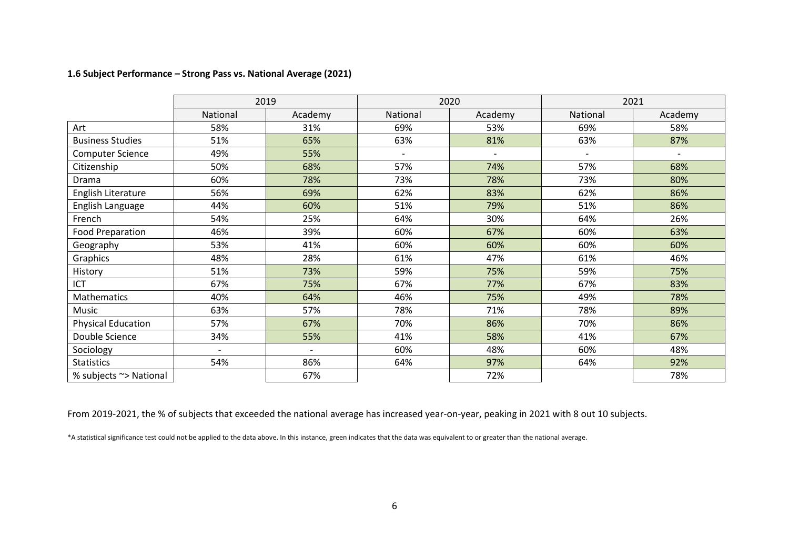## <span id="page-5-0"></span>**1.6 Subject Performance – Strong Pass vs. National Average (2021)**

|                           |          | 2019    |                          | 2020                     | 2021     |                          |  |
|---------------------------|----------|---------|--------------------------|--------------------------|----------|--------------------------|--|
|                           | National | Academy | National                 | Academy                  | National | Academy                  |  |
| Art                       | 58%      | 31%     | 69%                      | 53%                      | 69%      | 58%                      |  |
| <b>Business Studies</b>   | 51%      | 65%     | 63%                      | 81%                      | 63%      | 87%                      |  |
| <b>Computer Science</b>   | 49%      | 55%     | $\overline{\phantom{a}}$ | $\overline{\phantom{0}}$ |          | $\overline{\phantom{0}}$ |  |
| Citizenship               | 50%      | 68%     | 57%                      | 74%                      | 57%      | 68%                      |  |
| Drama                     | 60%      | 78%     | 73%                      | 78%                      | 73%      | 80%                      |  |
| English Literature        | 56%      | 69%     | 62%                      | 83%                      | 62%      | 86%                      |  |
| English Language          | 44%      | 60%     | 51%                      | 79%                      | 51%      | 86%                      |  |
| French                    | 54%      | 25%     | 64%                      | 30%                      | 64%      | 26%                      |  |
| <b>Food Preparation</b>   | 46%      | 39%     | 60%                      | 67%                      | 60%      | 63%                      |  |
| Geography                 | 53%      | 41%     | 60%                      | 60%                      | 60%      | 60%                      |  |
| Graphics                  | 48%      | 28%     | 61%                      | 47%                      | 61%      | 46%                      |  |
| History                   | 51%      | 73%     | 59%                      | 75%                      | 59%      | 75%                      |  |
| ICT                       | 67%      | 75%     | 67%                      | 77%                      | 67%      | 83%                      |  |
| <b>Mathematics</b>        | 40%      | 64%     | 46%                      | 75%                      | 49%      | 78%                      |  |
| Music                     | 63%      | 57%     | 78%                      | 71%                      | 78%      | 89%                      |  |
| <b>Physical Education</b> | 57%      | 67%     | 70%                      | 86%                      | 70%      | 86%                      |  |
| Double Science            | 34%      | 55%     | 41%                      | 58%                      | 41%      | 67%                      |  |
| Sociology                 |          |         | 60%                      | 48%                      | 60%      | 48%                      |  |
| <b>Statistics</b>         | 54%      | 86%     | 64%                      | 97%                      | 64%      | 92%                      |  |
| % subjects ~> National    |          | 67%     |                          | 72%                      |          | 78%                      |  |

From 2019-2021, the % of subjects that exceeded the national average has increased year-on-year, peaking in 2021 with 8 out 10 subjects.

\*A statistical significance test could not be applied to the data above. In this instance, green indicates that the data was equivalent to or greater than the national average.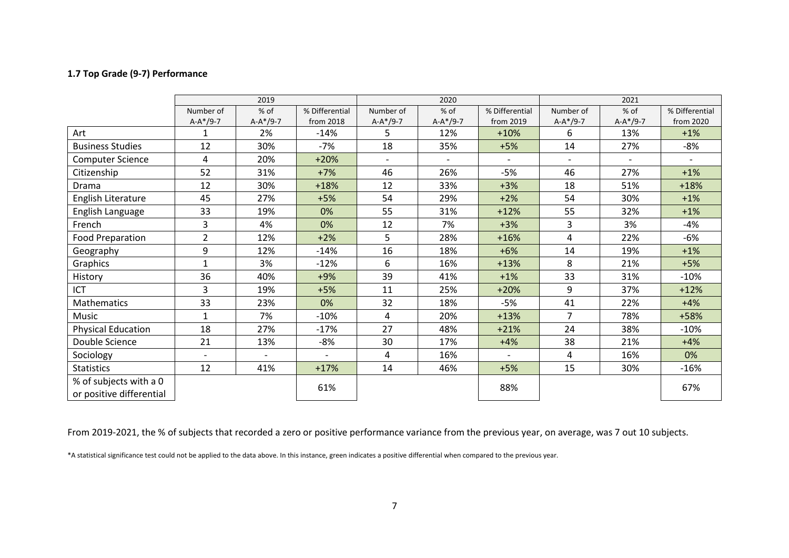## <span id="page-6-0"></span>**1.7 Top Grade (9-7) Performance**

|                                                    |                | 2019       |                |                          | 2020       |                          | 2021           |                          |                          |  |
|----------------------------------------------------|----------------|------------|----------------|--------------------------|------------|--------------------------|----------------|--------------------------|--------------------------|--|
|                                                    | Number of      | % of       | % Differential | Number of                | % of       | % Differential           | Number of      | % of                     | % Differential           |  |
|                                                    | $A-A*/9-7$     | $A-A*/9-7$ | from 2018      | $A-A*/9-7$               | $A-A*/9-7$ | from 2019                | $A-A*/9-7$     | $A-A*/9-7$               | from 2020                |  |
| Art                                                | 1              | 2%         | $-14%$         | 5                        | 12%        | $+10%$                   | 6              | 13%                      | $+1%$                    |  |
| <b>Business Studies</b>                            | 12             | 30%        | -7%            | 18                       | 35%        | $+5%$                    | 14             | 27%                      | -8%                      |  |
| <b>Computer Science</b>                            | 4              | 20%        | $+20%$         | $\overline{\phantom{a}}$ |            | $\overline{\phantom{a}}$ | $\blacksquare$ | $\overline{\phantom{a}}$ | $\overline{\phantom{a}}$ |  |
| Citizenship                                        | 52             | 31%        | $+7%$          | 46                       | 26%        | $-5%$                    | 46             | 27%                      | $+1%$                    |  |
| Drama                                              | 12             | 30%        | $+18%$         | 12                       | 33%        | $+3%$                    | 18             | 51%                      | $+18%$                   |  |
| English Literature                                 | 45             | 27%        | $+5%$          | 54                       | 29%        | $+2%$                    | 54             | 30%                      | $+1%$                    |  |
| English Language                                   | 33             | 19%        | 0%             | 55                       | 31%        | $+12%$                   | 55             | 32%                      | $+1%$                    |  |
| French                                             | 3              | 4%         | 0%             | 12                       | 7%         | $+3%$                    | 3              | 3%                       | -4%                      |  |
| Food Preparation                                   | $\overline{2}$ | 12%        | $+2%$          | 5                        | 28%        | $+16%$                   | 4              | 22%                      | $-6%$                    |  |
| Geography                                          | 9              | 12%        | $-14%$         | 16                       | 18%        | $+6%$                    | 14             | 19%                      | $+1%$                    |  |
| Graphics                                           | $\mathbf{1}$   | 3%         | $-12%$         | 6                        | 16%        | $+13%$                   | 8              | 21%                      | $+5%$                    |  |
| History                                            | 36             | 40%        | $+9%$          | 39                       | 41%        | $+1%$                    | 33             | 31%                      | $-10%$                   |  |
| ICT                                                | 3              | 19%        | $+5%$          | 11                       | 25%        | $+20%$                   | 9              | 37%                      | $+12%$                   |  |
| Mathematics                                        | 33             | 23%        | 0%             | 32                       | 18%        | $-5%$                    | 41             | 22%                      | $+4%$                    |  |
| Music                                              | $\mathbf{1}$   | 7%         | $-10%$         | 4                        | 20%        | $+13%$                   | $\overline{7}$ | 78%                      | +58%                     |  |
| <b>Physical Education</b>                          | 18             | 27%        | $-17%$         | 27                       | 48%        | $+21%$                   | 24             | 38%                      | $-10%$                   |  |
| Double Science                                     | 21             | 13%        | $-8%$          | 30                       | 17%        | $+4%$                    | 38             | 21%                      | $+4%$                    |  |
| Sociology                                          |                |            |                | 4                        | 16%        | $\overline{a}$           | 4              | 16%                      | 0%                       |  |
| <b>Statistics</b>                                  | 12             | 41%        | $+17%$         | 14                       | 46%        | $+5%$                    | 15             | 30%                      | $-16%$                   |  |
| % of subjects with a 0<br>or positive differential |                |            | 61%            |                          |            | 88%                      |                |                          | 67%                      |  |

From 2019-2021, the % of subjects that recorded a zero or positive performance variance from the previous year, on average, was 7 out 10 subjects.

\*A statistical significance test could not be applied to the data above. In this instance, green indicates a positive differential when compared to the previous year.